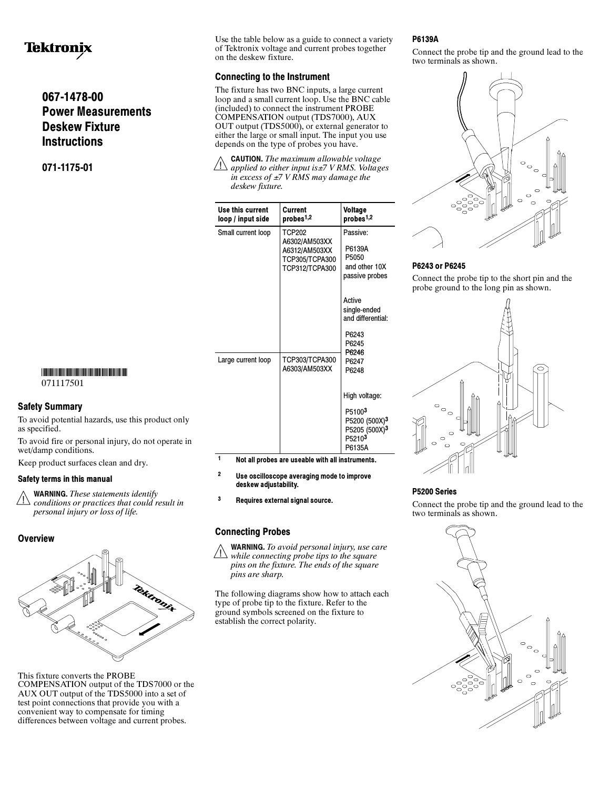# **Tektronix**

## 067-1478-00 Power Measurements Deskew Fixture **Instructions**

071-1175-01

## -

071117501

To avoid potential hazards, use this product only as specified.

To avoid fire or personal injury, do not operate in wet/damp conditions.

Keep product surfaces clean and dry.

 $\wedge$  WARNING. These statements identify conditions or practices that could result in personal injury or loss of life.



This fixture converts the PROBE COMPENSATION output of the TDS7000 or the AUX OUT output of the TDS5000 into a set of test point connections that provide you with a convenient way to compensate for timing differences between voltage and current probes.

Use the table below as a guide to connect a variety of Tektronix voltage and current probes together on the deskew fixture.

The fixture has two BNC inputs, a large current loop and a small current loop. Use the BNC cable (included) to connect the instrument PROBE COMPENSATION output (TDS7000), AUX OUT output (TDS5000), or external generator to either the large or small input. The input you use depends on the type of probes you have.

CAUTION. The maximum allowable voltage applied to either input is $\pm$ 7 V RMS. Voltages in excess of  $\pm$ 7 V RMS may damage the deskew fixture.

| Use this current<br>loop / input side | Current<br>probes <sup>1,2</sup>                                             | Voltage<br>probes <sup>1,2</sup>                                                                  |
|---------------------------------------|------------------------------------------------------------------------------|---------------------------------------------------------------------------------------------------|
| Small current loop                    | TCP202<br>A6302/AM503XX<br>A6312/AM503XX<br>TCP305/TCPA300<br>TCP312/TCPA300 | Passive:<br>P6139A<br>P5050<br>and other 10X<br>passive probes                                    |
|                                       |                                                                              | Active<br>single-ended<br>and differential:                                                       |
|                                       |                                                                              | P6243<br>P6245<br>P6246<br>P6247<br>P6248                                                         |
| Large current loop                    | TCP303/TCPA300<br>A6303/AM503XX                                              |                                                                                                   |
|                                       |                                                                              | High voltage:                                                                                     |
|                                       |                                                                              | P51003<br>P5200 (500X) <sup>3</sup><br>P5205 (500X) <sup>3</sup><br>P <sub>5210</sub> 3<br>P6135A |

- <sup>1</sup> Not all probes are useable with all instruments.
- <sup>2</sup> Use oscilloscope averaging mode to improve deskew adjustability.

<sup>3</sup> Requires external signal source.

 $\triangle$  WARNING. To avoid personal injury, use care  $\Box$  while connecting probe tips to the square pins on the fixture. The ends of the square pins are sharp.

The following diagrams show how to attach each type of probe tip to the fixture. Refer to the ground symbols screened on the fixture to establish the correct polarity.

Connect the probe tip and the ground lead to the two terminals as shown.



## P6243 or P6245

Connect the probe tip to the short pin and the probe ground to the long pin as shown.



## P5200 Series

Connect the probe tip and the ground lead to the two terminals as shown.